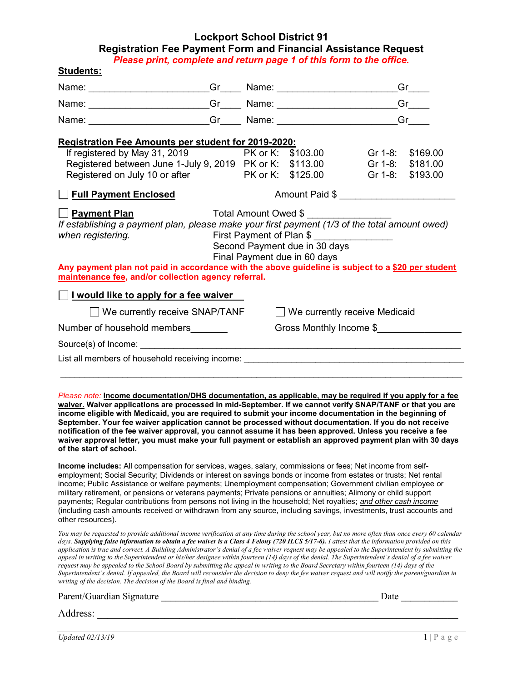## Lockport School District 91 Registration Fee Payment Form and Financial Assistance Request

Please print, complete and return page 1 of this form to the office.

| Students:                                                                                                                                                                                                                      |  |                   |                                      |  |                      |  |
|--------------------------------------------------------------------------------------------------------------------------------------------------------------------------------------------------------------------------------|--|-------------------|--------------------------------------|--|----------------------|--|
|                                                                                                                                                                                                                                |  |                   |                                      |  | Gr                   |  |
|                                                                                                                                                                                                                                |  |                   |                                      |  | $Gr$ <sub>____</sub> |  |
| Name: Carl Communication Communication Communication Communication Communication Communication Communication Communication Communication Communication Communication Communication Communication Communication Communication C |  |                   |                                      |  | Green                |  |
| <b>Registration Fee Amounts per student for 2019-2020:</b>                                                                                                                                                                     |  |                   |                                      |  |                      |  |
| If registered by May 31, 2019                                                                                                                                                                                                  |  |                   | PK or K: \$103.00                    |  | Gr 1-8: \$169.00     |  |
| Registered between June 1-July 9, 2019 PK or K:                                                                                                                                                                                |  |                   | \$113.00                             |  | Gr 1-8: \$181.00     |  |
| Registered on July 10 or after                                                                                                                                                                                                 |  | PK or K: \$125.00 |                                      |  | Gr 1-8: \$193.00     |  |
| Full Payment Enclosed                                                                                                                                                                                                          |  | Amount Paid \$    |                                      |  |                      |  |
| <u>  Payment Plan</u>                                                                                                                                                                                                          |  |                   | Total Amount Owed \$                 |  |                      |  |
| If establishing a payment plan, please make your first payment (1/3 of the total amount owed)                                                                                                                                  |  |                   |                                      |  |                      |  |
| First Payment of Plan \$<br>when registering.                                                                                                                                                                                  |  |                   |                                      |  |                      |  |
|                                                                                                                                                                                                                                |  |                   | Second Payment due in 30 days        |  |                      |  |
| Any payment plan not paid in accordance with the above guideline is subject to a \$20 per student                                                                                                                              |  |                   | Final Payment due in 60 days         |  |                      |  |
| maintenance fee, and/or collection agency referral.                                                                                                                                                                            |  |                   |                                      |  |                      |  |
|                                                                                                                                                                                                                                |  |                   |                                      |  |                      |  |
| I would like to apply for a fee waiver                                                                                                                                                                                         |  |                   |                                      |  |                      |  |
| $\Box$ We currently receive SNAP/TANF                                                                                                                                                                                          |  |                   | $\Box$ We currently receive Medicaid |  |                      |  |
| Number of household members                                                                                                                                                                                                    |  |                   | Gross Monthly Income \$              |  |                      |  |
| Source(s) of Income: experience and the set of the set of the set of the set of the set of the set of the set of the set of the set of the set of the set of the set of the set of the set of the set of the set of the set of |  |                   |                                      |  |                      |  |
| List all members of household receiving income: List all members of households and the United States of household receiving income:                                                                                            |  |                   |                                      |  |                      |  |
|                                                                                                                                                                                                                                |  |                   |                                      |  |                      |  |
|                                                                                                                                                                                                                                |  |                   |                                      |  |                      |  |
| Please note: Income documentation/DHS documentation, as applicable, may be required if you apply for a fee<br>waiver. Waiver applications are processed in mid-September. If we cannot verify SNAP/TANF or that you are        |  |                   |                                      |  |                      |  |
| income eligible with Medicaid, you are required to submit your income documentation in the beginning of                                                                                                                        |  |                   |                                      |  |                      |  |
| September. Your fee waiver application cannot be processed without documentation. If you do not receive                                                                                                                        |  |                   |                                      |  |                      |  |
| notification of the fee waiver approval, you cannot assume it has been approved. Unless you receive a fee<br>waiver approval letter, you must make your full payment or establish an approved payment plan with 30 days        |  |                   |                                      |  |                      |  |
| of the start of school.                                                                                                                                                                                                        |  |                   |                                      |  |                      |  |
| Income includes: All compensation for services, wages, salary, commissions or fees; Net income from self-                                                                                                                      |  |                   |                                      |  |                      |  |
| employment; Social Security; Dividends or interest on savings bonds or income from estates or trusts; Net rental                                                                                                               |  |                   |                                      |  |                      |  |
| income; Public Assistance or welfare payments; Unemployment compensation; Government civilian employee or                                                                                                                      |  |                   |                                      |  |                      |  |

military retirement, or pensions or veterans payments; Private pensions or annuities; Alimony or child support payments; Regular contributions from persons not living in the household; Net royalties; and other cash income (including cash amounts received or withdrawn from any source, including savings, investments, trust accounts and other resources).

You may be requested to provide additional income verification at any time during the school year, but no more often than once every 60 calendar days. Supplying false information to obtain a fee waiver is a Class 4 Felony (720 ILCS 5/17-6). I attest that the information provided on this application is true and correct. A Building Administrator's denial of a fee waiver request may be appealed to the Superintendent by submitting the appeal in writing to the Superintendent or his/her designee within fourteen (14) days of the denial. The Superintendent's denial of a fee waiver request may be appealed to the School Board by submitting the appeal in writing to the Board Secretary within fourteen (14) days of the Superintendent's denial. If appealed, the Board will reconsider the decision to deny the fee waiver request and will notify the parent/guardian in writing of the decision. The decision of the Board is final and binding.

Address: